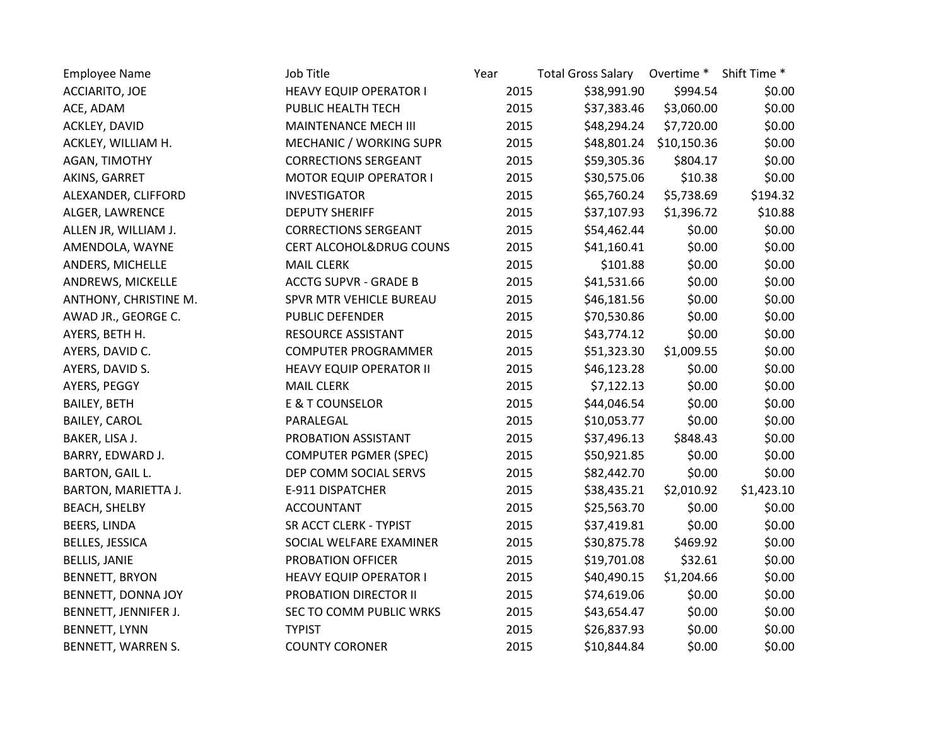| <b>Employee Name</b>       | Job Title                          | Year | <b>Total Gross Salary</b> | Overtime * Shift Time * |            |
|----------------------------|------------------------------------|------|---------------------------|-------------------------|------------|
| ACCIARITO, JOE             | <b>HEAVY EQUIP OPERATOR I</b>      | 2015 | \$38,991.90               | \$994.54                | \$0.00     |
| ACE, ADAM                  | PUBLIC HEALTH TECH                 | 2015 | \$37,383.46               | \$3,060.00              | \$0.00     |
| ACKLEY, DAVID              | MAINTENANCE MECH III               | 2015 | \$48,294.24               | \$7,720.00              | \$0.00     |
| ACKLEY, WILLIAM H.         | MECHANIC / WORKING SUPR            | 2015 | \$48,801.24               | \$10,150.36             | \$0.00     |
| AGAN, TIMOTHY              | <b>CORRECTIONS SERGEANT</b>        | 2015 | \$59,305.36               | \$804.17                | \$0.00     |
| AKINS, GARRET              | <b>MOTOR EQUIP OPERATOR I</b>      | 2015 | \$30,575.06               | \$10.38                 | \$0.00     |
| ALEXANDER, CLIFFORD        | <b>INVESTIGATOR</b>                | 2015 | \$65,760.24               | \$5,738.69              | \$194.32   |
| ALGER, LAWRENCE            | <b>DEPUTY SHERIFF</b>              | 2015 | \$37,107.93               | \$1,396.72              | \$10.88    |
| ALLEN JR, WILLIAM J.       | <b>CORRECTIONS SERGEANT</b>        | 2015 | \$54,462.44               | \$0.00                  | \$0.00     |
| AMENDOLA, WAYNE            | <b>CERT ALCOHOL&amp;DRUG COUNS</b> | 2015 | \$41,160.41               | \$0.00                  | \$0.00     |
| ANDERS, MICHELLE           | <b>MAIL CLERK</b>                  | 2015 | \$101.88                  | \$0.00                  | \$0.00     |
| ANDREWS, MICKELLE          | <b>ACCTG SUPVR - GRADE B</b>       | 2015 | \$41,531.66               | \$0.00                  | \$0.00     |
| ANTHONY, CHRISTINE M.      | SPVR MTR VEHICLE BUREAU            | 2015 | \$46,181.56               | \$0.00                  | \$0.00     |
| AWAD JR., GEORGE C.        | <b>PUBLIC DEFENDER</b>             | 2015 | \$70,530.86               | \$0.00                  | \$0.00     |
| AYERS, BETH H.             | RESOURCE ASSISTANT                 | 2015 | \$43,774.12               | \$0.00                  | \$0.00     |
| AYERS, DAVID C.            | <b>COMPUTER PROGRAMMER</b>         | 2015 | \$51,323.30               | \$1,009.55              | \$0.00     |
| AYERS, DAVID S.            | <b>HEAVY EQUIP OPERATOR II</b>     | 2015 | \$46,123.28               | \$0.00                  | \$0.00     |
| AYERS, PEGGY               | <b>MAIL CLERK</b>                  | 2015 | \$7,122.13                | \$0.00                  | \$0.00     |
| <b>BAILEY, BETH</b>        | E & T COUNSELOR                    | 2015 | \$44,046.54               | \$0.00                  | \$0.00     |
| <b>BAILEY, CAROL</b>       | PARALEGAL                          | 2015 | \$10,053.77               | \$0.00                  | \$0.00     |
| BAKER, LISA J.             | PROBATION ASSISTANT                | 2015 | \$37,496.13               | \$848.43                | \$0.00     |
| BARRY, EDWARD J.           | <b>COMPUTER PGMER (SPEC)</b>       | 2015 | \$50,921.85               | \$0.00                  | \$0.00     |
| <b>BARTON, GAIL L.</b>     | DEP COMM SOCIAL SERVS              | 2015 | \$82,442.70               | \$0.00                  | \$0.00     |
| <b>BARTON, MARIETTA J.</b> | E-911 DISPATCHER                   | 2015 | \$38,435.21               | \$2,010.92              | \$1,423.10 |
| BEACH, SHELBY              | <b>ACCOUNTANT</b>                  | 2015 | \$25,563.70               | \$0.00                  | \$0.00     |
| BEERS, LINDA               | SR ACCT CLERK - TYPIST             | 2015 | \$37,419.81               | \$0.00                  | \$0.00     |
| <b>BELLES, JESSICA</b>     | SOCIAL WELFARE EXAMINER            | 2015 | \$30,875.78               | \$469.92                | \$0.00     |
| <b>BELLIS, JANIE</b>       | PROBATION OFFICER                  | 2015 | \$19,701.08               | \$32.61                 | \$0.00     |
| <b>BENNETT, BRYON</b>      | <b>HEAVY EQUIP OPERATOR I</b>      | 2015 | \$40,490.15               | \$1,204.66              | \$0.00     |
| BENNETT, DONNA JOY         | PROBATION DIRECTOR II              | 2015 | \$74,619.06               | \$0.00                  | \$0.00     |
| BENNETT, JENNIFER J.       | SEC TO COMM PUBLIC WRKS            | 2015 | \$43,654.47               | \$0.00                  | \$0.00     |
| <b>BENNETT, LYNN</b>       | <b>TYPIST</b>                      | 2015 | \$26,837.93               | \$0.00                  | \$0.00     |
| BENNETT, WARREN S.         | <b>COUNTY CORONER</b>              | 2015 | \$10,844.84               | \$0.00                  | \$0.00     |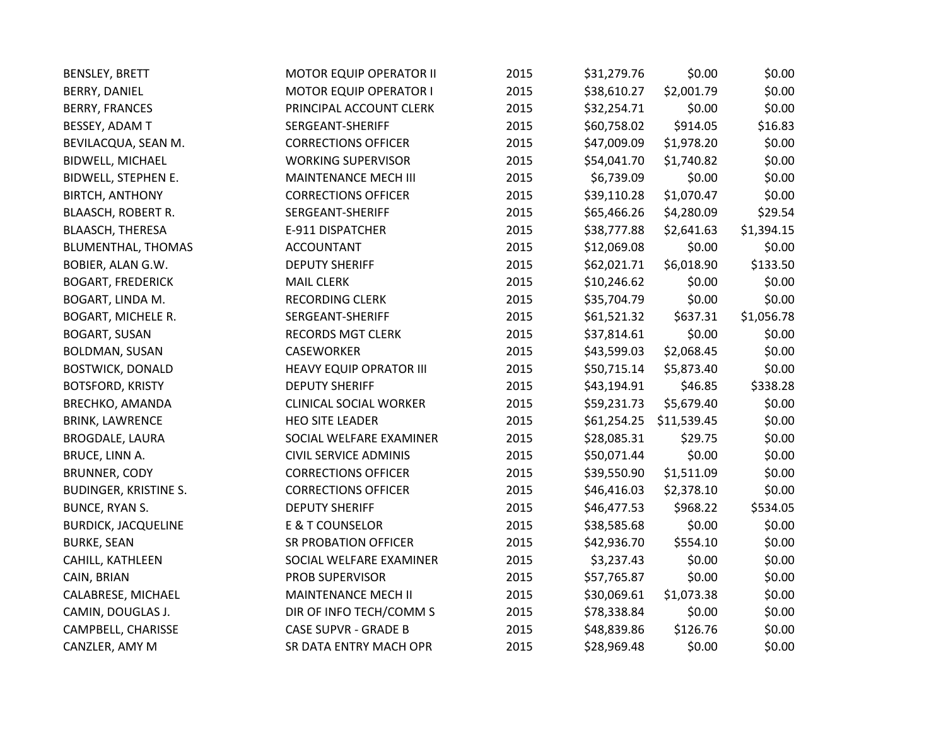| <b>BENSLEY, BRETT</b>        | <b>MOTOR EQUIP OPERATOR II</b> | 2015 | \$31,279.76 | \$0.00      | \$0.00     |
|------------------------------|--------------------------------|------|-------------|-------------|------------|
| BERRY, DANIEL                | <b>MOTOR EQUIP OPERATOR I</b>  | 2015 | \$38,610.27 | \$2,001.79  | \$0.00     |
| <b>BERRY, FRANCES</b>        | PRINCIPAL ACCOUNT CLERK        | 2015 | \$32,254.71 | \$0.00      | \$0.00     |
| BESSEY, ADAM T               | SERGEANT-SHERIFF               | 2015 | \$60,758.02 | \$914.05    | \$16.83    |
| BEVILACQUA, SEAN M.          | <b>CORRECTIONS OFFICER</b>     | 2015 | \$47,009.09 | \$1,978.20  | \$0.00     |
| BIDWELL, MICHAEL             | <b>WORKING SUPERVISOR</b>      | 2015 | \$54,041.70 | \$1,740.82  | \$0.00     |
| BIDWELL, STEPHEN E.          | MAINTENANCE MECH III           | 2015 | \$6,739.09  | \$0.00      | \$0.00     |
| <b>BIRTCH, ANTHONY</b>       | <b>CORRECTIONS OFFICER</b>     | 2015 | \$39,110.28 | \$1,070.47  | \$0.00     |
| <b>BLAASCH, ROBERT R.</b>    | SERGEANT-SHERIFF               | 2015 | \$65,466.26 | \$4,280.09  | \$29.54    |
| BLAASCH, THERESA             | E-911 DISPATCHER               | 2015 | \$38,777.88 | \$2,641.63  | \$1,394.15 |
| <b>BLUMENTHAL, THOMAS</b>    | <b>ACCOUNTANT</b>              | 2015 | \$12,069.08 | \$0.00      | \$0.00     |
| BOBIER, ALAN G.W.            | <b>DEPUTY SHERIFF</b>          | 2015 | \$62,021.71 | \$6,018.90  | \$133.50   |
| <b>BOGART, FREDERICK</b>     | <b>MAIL CLERK</b>              | 2015 | \$10,246.62 | \$0.00      | \$0.00     |
| BOGART, LINDA M.             | <b>RECORDING CLERK</b>         | 2015 | \$35,704.79 | \$0.00      | \$0.00     |
| BOGART, MICHELE R.           | SERGEANT-SHERIFF               | 2015 | \$61,521.32 | \$637.31    | \$1,056.78 |
| <b>BOGART, SUSAN</b>         | <b>RECORDS MGT CLERK</b>       | 2015 | \$37,814.61 | \$0.00      | \$0.00     |
| BOLDMAN, SUSAN               | <b>CASEWORKER</b>              | 2015 | \$43,599.03 | \$2,068.45  | \$0.00     |
| <b>BOSTWICK, DONALD</b>      | <b>HEAVY EQUIP OPRATOR III</b> | 2015 | \$50,715.14 | \$5,873.40  | \$0.00     |
| <b>BOTSFORD, KRISTY</b>      | <b>DEPUTY SHERIFF</b>          | 2015 | \$43,194.91 | \$46.85     | \$338.28   |
| BRECHKO, AMANDA              | <b>CLINICAL SOCIAL WORKER</b>  | 2015 | \$59,231.73 | \$5,679.40  | \$0.00     |
| <b>BRINK, LAWRENCE</b>       | <b>HEO SITE LEADER</b>         | 2015 | \$61,254.25 | \$11,539.45 | \$0.00     |
| <b>BROGDALE, LAURA</b>       | SOCIAL WELFARE EXAMINER        | 2015 | \$28,085.31 | \$29.75     | \$0.00     |
| BRUCE, LINN A.               | <b>CIVIL SERVICE ADMINIS</b>   | 2015 | \$50,071.44 | \$0.00      | \$0.00     |
| <b>BRUNNER, CODY</b>         | <b>CORRECTIONS OFFICER</b>     | 2015 | \$39,550.90 | \$1,511.09  | \$0.00     |
| <b>BUDINGER, KRISTINE S.</b> | <b>CORRECTIONS OFFICER</b>     | 2015 | \$46,416.03 | \$2,378.10  | \$0.00     |
| <b>BUNCE, RYAN S.</b>        | <b>DEPUTY SHERIFF</b>          | 2015 | \$46,477.53 | \$968.22    | \$534.05   |
| <b>BURDICK, JACQUELINE</b>   | <b>E &amp; T COUNSELOR</b>     | 2015 | \$38,585.68 | \$0.00      | \$0.00     |
| <b>BURKE, SEAN</b>           | <b>SR PROBATION OFFICER</b>    | 2015 | \$42,936.70 | \$554.10    | \$0.00     |
| CAHILL, KATHLEEN             | SOCIAL WELFARE EXAMINER        | 2015 | \$3,237.43  | \$0.00      | \$0.00     |
| CAIN, BRIAN                  | PROB SUPERVISOR                | 2015 | \$57,765.87 | \$0.00      | \$0.00     |
| CALABRESE, MICHAEL           | MAINTENANCE MECH II            | 2015 | \$30,069.61 | \$1,073.38  | \$0.00     |
| CAMIN, DOUGLAS J.            | DIR OF INFO TECH/COMM S        | 2015 | \$78,338.84 | \$0.00      | \$0.00     |
| CAMPBELL, CHARISSE           | <b>CASE SUPVR - GRADE B</b>    | 2015 | \$48,839.86 | \$126.76    | \$0.00     |
| CANZLER, AMY M               | SR DATA ENTRY MACH OPR         | 2015 | \$28,969.48 | \$0.00      | \$0.00     |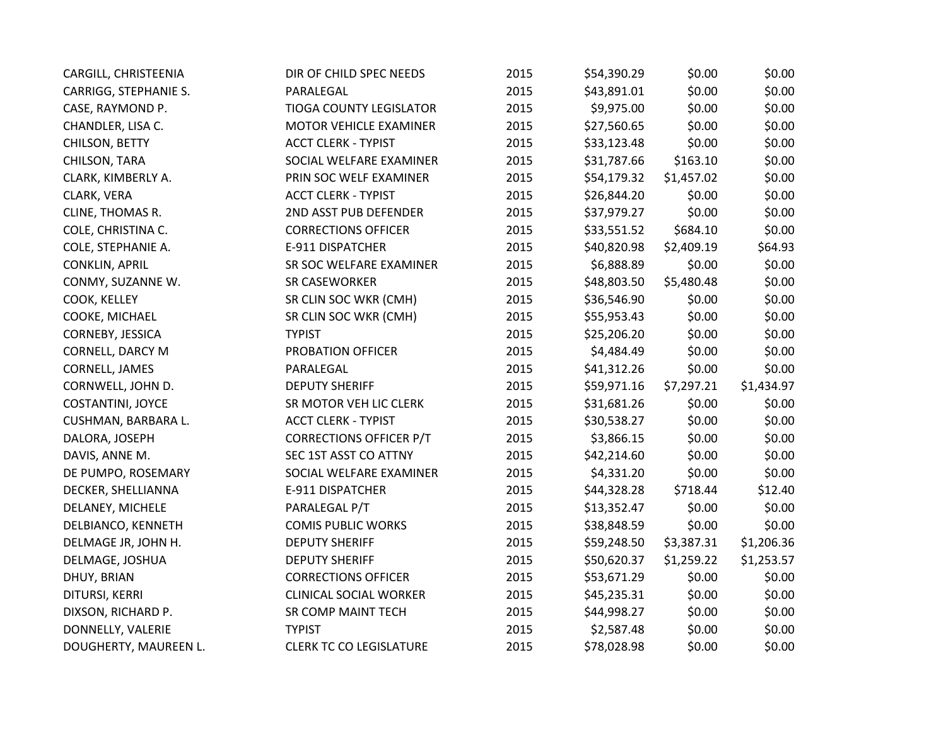| CARGILL, CHRISTEENIA  | DIR OF CHILD SPEC NEEDS        | 2015 | \$54,390.29 | \$0.00     | \$0.00     |
|-----------------------|--------------------------------|------|-------------|------------|------------|
| CARRIGG, STEPHANIE S. | PARALEGAL                      | 2015 | \$43,891.01 | \$0.00     | \$0.00     |
| CASE, RAYMOND P.      | <b>TIOGA COUNTY LEGISLATOR</b> | 2015 | \$9,975.00  | \$0.00     | \$0.00     |
| CHANDLER, LISA C.     | MOTOR VEHICLE EXAMINER         | 2015 | \$27,560.65 | \$0.00     | \$0.00     |
| CHILSON, BETTY        | <b>ACCT CLERK - TYPIST</b>     | 2015 | \$33,123.48 | \$0.00     | \$0.00     |
| CHILSON, TARA         | SOCIAL WELFARE EXAMINER        | 2015 | \$31,787.66 | \$163.10   | \$0.00     |
| CLARK, KIMBERLY A.    | PRIN SOC WELF EXAMINER         | 2015 | \$54,179.32 | \$1,457.02 | \$0.00     |
| CLARK, VERA           | <b>ACCT CLERK - TYPIST</b>     | 2015 | \$26,844.20 | \$0.00     | \$0.00     |
| CLINE, THOMAS R.      | 2ND ASST PUB DEFENDER          | 2015 | \$37,979.27 | \$0.00     | \$0.00     |
| COLE, CHRISTINA C.    | <b>CORRECTIONS OFFICER</b>     | 2015 | \$33,551.52 | \$684.10   | \$0.00     |
| COLE, STEPHANIE A.    | E-911 DISPATCHER               | 2015 | \$40,820.98 | \$2,409.19 | \$64.93    |
| <b>CONKLIN, APRIL</b> | SR SOC WELFARE EXAMINER        | 2015 | \$6,888.89  | \$0.00     | \$0.00     |
| CONMY, SUZANNE W.     | <b>SR CASEWORKER</b>           | 2015 | \$48,803.50 | \$5,480.48 | \$0.00     |
| COOK, KELLEY          | SR CLIN SOC WKR (CMH)          | 2015 | \$36,546.90 | \$0.00     | \$0.00     |
| COOKE, MICHAEL        | SR CLIN SOC WKR (CMH)          | 2015 | \$55,953.43 | \$0.00     | \$0.00     |
| CORNEBY, JESSICA      | <b>TYPIST</b>                  | 2015 | \$25,206.20 | \$0.00     | \$0.00     |
| CORNELL, DARCY M      | PROBATION OFFICER              | 2015 | \$4,484.49  | \$0.00     | \$0.00     |
| CORNELL, JAMES        | PARALEGAL                      | 2015 | \$41,312.26 | \$0.00     | \$0.00     |
| CORNWELL, JOHN D.     | <b>DEPUTY SHERIFF</b>          | 2015 | \$59,971.16 | \$7,297.21 | \$1,434.97 |
| COSTANTINI, JOYCE     | SR MOTOR VEH LIC CLERK         | 2015 | \$31,681.26 | \$0.00     | \$0.00     |
| CUSHMAN, BARBARA L.   | <b>ACCT CLERK - TYPIST</b>     | 2015 | \$30,538.27 | \$0.00     | \$0.00     |
| DALORA, JOSEPH        | <b>CORRECTIONS OFFICER P/T</b> | 2015 | \$3,866.15  | \$0.00     | \$0.00     |
| DAVIS, ANNE M.        | SEC 1ST ASST CO ATTNY          | 2015 | \$42,214.60 | \$0.00     | \$0.00     |
| DE PUMPO, ROSEMARY    | SOCIAL WELFARE EXAMINER        | 2015 | \$4,331.20  | \$0.00     | \$0.00     |
| DECKER, SHELLIANNA    | E-911 DISPATCHER               | 2015 | \$44,328.28 | \$718.44   | \$12.40    |
| DELANEY, MICHELE      | PARALEGAL P/T                  | 2015 | \$13,352.47 | \$0.00     | \$0.00     |
| DELBIANCO, KENNETH    | <b>COMIS PUBLIC WORKS</b>      | 2015 | \$38,848.59 | \$0.00     | \$0.00     |
| DELMAGE JR, JOHN H.   | <b>DEPUTY SHERIFF</b>          | 2015 | \$59,248.50 | \$3,387.31 | \$1,206.36 |
| DELMAGE, JOSHUA       | <b>DEPUTY SHERIFF</b>          | 2015 | \$50,620.37 | \$1,259.22 | \$1,253.57 |
| DHUY, BRIAN           | <b>CORRECTIONS OFFICER</b>     | 2015 | \$53,671.29 | \$0.00     | \$0.00     |
| DITURSI, KERRI        | <b>CLINICAL SOCIAL WORKER</b>  | 2015 | \$45,235.31 | \$0.00     | \$0.00     |
| DIXSON, RICHARD P.    | SR COMP MAINT TECH             | 2015 | \$44,998.27 | \$0.00     | \$0.00     |
| DONNELLY, VALERIE     | <b>TYPIST</b>                  | 2015 | \$2,587.48  | \$0.00     | \$0.00     |
| DOUGHERTY, MAUREEN L. | <b>CLERK TC CO LEGISLATURE</b> | 2015 | \$78,028.98 | \$0.00     | \$0.00     |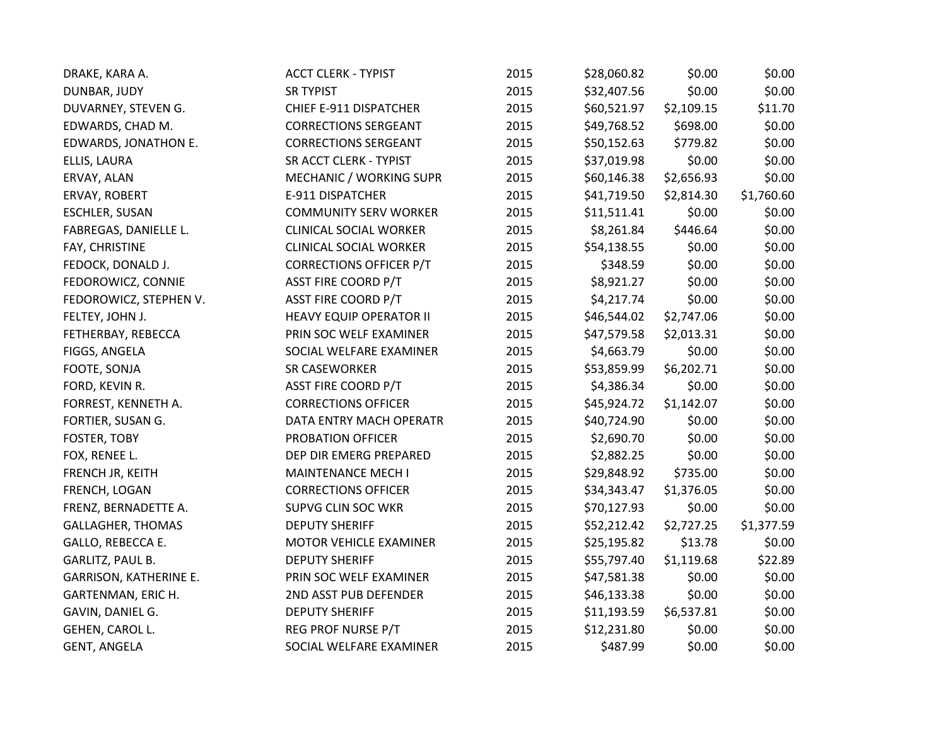| DRAKE, KARA A.                | <b>ACCT CLERK - TYPIST</b>     | 2015 | \$28,060.82 | \$0.00     | \$0.00     |
|-------------------------------|--------------------------------|------|-------------|------------|------------|
| DUNBAR, JUDY                  | <b>SR TYPIST</b>               | 2015 | \$32,407.56 | \$0.00     | \$0.00     |
| DUVARNEY, STEVEN G.           | CHIEF E-911 DISPATCHER         | 2015 | \$60,521.97 | \$2,109.15 | \$11.70    |
| EDWARDS, CHAD M.              | <b>CORRECTIONS SERGEANT</b>    | 2015 | \$49,768.52 | \$698.00   | \$0.00     |
| EDWARDS, JONATHON E.          | <b>CORRECTIONS SERGEANT</b>    | 2015 | \$50,152.63 | \$779.82   | \$0.00     |
| ELLIS, LAURA                  | SR ACCT CLERK - TYPIST         | 2015 | \$37,019.98 | \$0.00     | \$0.00     |
| ERVAY, ALAN                   | MECHANIC / WORKING SUPR        | 2015 | \$60,146.38 | \$2,656.93 | \$0.00     |
| ERVAY, ROBERT                 | E-911 DISPATCHER               | 2015 | \$41,719.50 | \$2,814.30 | \$1,760.60 |
| <b>ESCHLER, SUSAN</b>         | <b>COMMUNITY SERV WORKER</b>   | 2015 | \$11,511.41 | \$0.00     | \$0.00     |
| FABREGAS, DANIELLE L.         | <b>CLINICAL SOCIAL WORKER</b>  | 2015 | \$8,261.84  | \$446.64   | \$0.00     |
| FAY, CHRISTINE                | <b>CLINICAL SOCIAL WORKER</b>  | 2015 | \$54,138.55 | \$0.00     | \$0.00     |
| FEDOCK, DONALD J.             | <b>CORRECTIONS OFFICER P/T</b> | 2015 | \$348.59    | \$0.00     | \$0.00     |
| FEDOROWICZ, CONNIE            | ASST FIRE COORD P/T            | 2015 | \$8,921.27  | \$0.00     | \$0.00     |
| FEDOROWICZ, STEPHEN V.        | <b>ASST FIRE COORD P/T</b>     | 2015 | \$4,217.74  | \$0.00     | \$0.00     |
| FELTEY, JOHN J.               | <b>HEAVY EQUIP OPERATOR II</b> | 2015 | \$46,544.02 | \$2,747.06 | \$0.00     |
| FETHERBAY, REBECCA            | PRIN SOC WELF EXAMINER         | 2015 | \$47,579.58 | \$2,013.31 | \$0.00     |
| FIGGS, ANGELA                 | SOCIAL WELFARE EXAMINER        | 2015 | \$4,663.79  | \$0.00     | \$0.00     |
| FOOTE, SONJA                  | <b>SR CASEWORKER</b>           | 2015 | \$53,859.99 | \$6,202.71 | \$0.00     |
| FORD, KEVIN R.                | <b>ASST FIRE COORD P/T</b>     | 2015 | \$4,386.34  | \$0.00     | \$0.00     |
| FORREST, KENNETH A.           | <b>CORRECTIONS OFFICER</b>     | 2015 | \$45,924.72 | \$1,142.07 | \$0.00     |
| FORTIER, SUSAN G.             | DATA ENTRY MACH OPERATR        | 2015 | \$40,724.90 | \$0.00     | \$0.00     |
| <b>FOSTER, TOBY</b>           | PROBATION OFFICER              | 2015 | \$2,690.70  | \$0.00     | \$0.00     |
| FOX, RENEE L.                 | DEP DIR EMERG PREPARED         | 2015 | \$2,882.25  | \$0.00     | \$0.00     |
| FRENCH JR, KEITH              | <b>MAINTENANCE MECH I</b>      | 2015 | \$29,848.92 | \$735.00   | \$0.00     |
| FRENCH, LOGAN                 | <b>CORRECTIONS OFFICER</b>     | 2015 | \$34,343.47 | \$1,376.05 | \$0.00     |
| FRENZ, BERNADETTE A.          | <b>SUPVG CLIN SOC WKR</b>      | 2015 | \$70,127.93 | \$0.00     | \$0.00     |
| <b>GALLAGHER, THOMAS</b>      | <b>DEPUTY SHERIFF</b>          | 2015 | \$52,212.42 | \$2,727.25 | \$1,377.59 |
| GALLO, REBECCA E.             | MOTOR VEHICLE EXAMINER         | 2015 | \$25,195.82 | \$13.78    | \$0.00     |
| GARLITZ, PAUL B.              | <b>DEPUTY SHERIFF</b>          | 2015 | \$55,797.40 | \$1,119.68 | \$22.89    |
| <b>GARRISON, KATHERINE E.</b> | PRIN SOC WELF EXAMINER         | 2015 | \$47,581.38 | \$0.00     | \$0.00     |
| GARTENMAN, ERIC H.            | 2ND ASST PUB DEFENDER          | 2015 | \$46,133.38 | \$0.00     | \$0.00     |
| GAVIN, DANIEL G.              | <b>DEPUTY SHERIFF</b>          | 2015 | \$11,193.59 | \$6,537.81 | \$0.00     |
| GEHEN, CAROL L.               | REG PROF NURSE P/T             | 2015 | \$12,231.80 | \$0.00     | \$0.00     |
| <b>GENT, ANGELA</b>           | SOCIAL WELFARE EXAMINER        | 2015 | \$487.99    | \$0.00     | \$0.00     |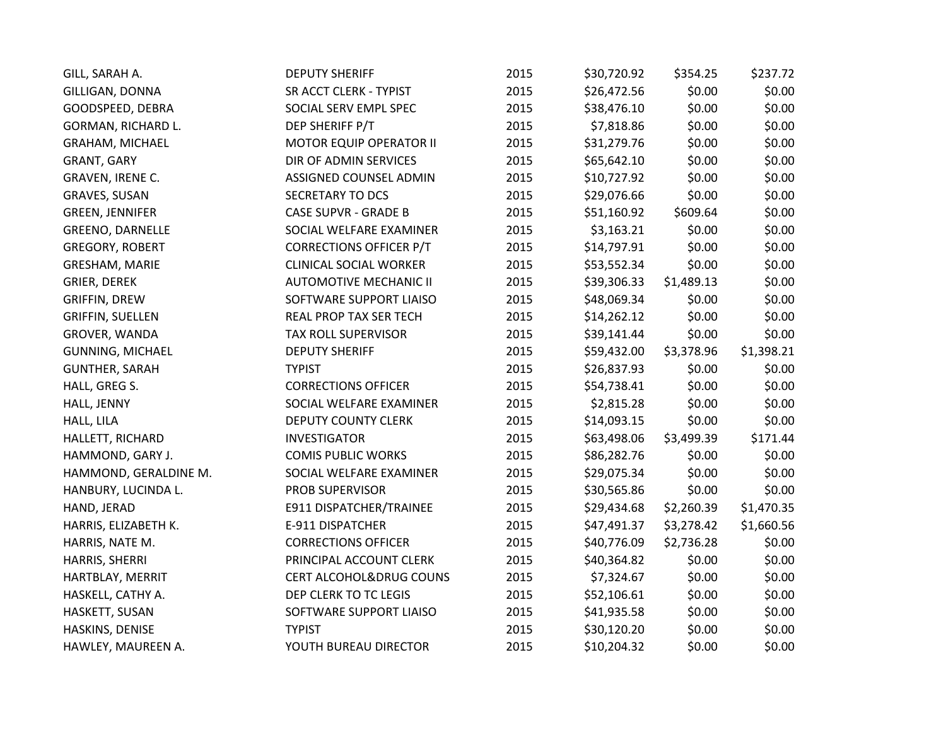| GILL, SARAH A.          | <b>DEPUTY SHERIFF</b>          | 2015 | \$30,720.92 | \$354.25   | \$237.72   |
|-------------------------|--------------------------------|------|-------------|------------|------------|
| GILLIGAN, DONNA         | SR ACCT CLERK - TYPIST         | 2015 | \$26,472.56 | \$0.00     | \$0.00     |
| GOODSPEED, DEBRA        | SOCIAL SERV EMPL SPEC          | 2015 | \$38,476.10 | \$0.00     | \$0.00     |
| GORMAN, RICHARD L.      | DEP SHERIFF P/T                | 2015 | \$7,818.86  | \$0.00     | \$0.00     |
| <b>GRAHAM, MICHAEL</b>  | <b>MOTOR EQUIP OPERATOR II</b> | 2015 | \$31,279.76 | \$0.00     | \$0.00     |
| GRANT, GARY             | DIR OF ADMIN SERVICES          | 2015 | \$65,642.10 | \$0.00     | \$0.00     |
| GRAVEN, IRENE C.        | ASSIGNED COUNSEL ADMIN         | 2015 | \$10,727.92 | \$0.00     | \$0.00     |
| <b>GRAVES, SUSAN</b>    | <b>SECRETARY TO DCS</b>        | 2015 | \$29,076.66 | \$0.00     | \$0.00     |
| <b>GREEN, JENNIFER</b>  | <b>CASE SUPVR - GRADE B</b>    | 2015 | \$51,160.92 | \$609.64   | \$0.00     |
| <b>GREENO, DARNELLE</b> | SOCIAL WELFARE EXAMINER        | 2015 | \$3,163.21  | \$0.00     | \$0.00     |
| <b>GREGORY, ROBERT</b>  | <b>CORRECTIONS OFFICER P/T</b> | 2015 | \$14,797.91 | \$0.00     | \$0.00     |
| GRESHAM, MARIE          | <b>CLINICAL SOCIAL WORKER</b>  | 2015 | \$53,552.34 | \$0.00     | \$0.00     |
| <b>GRIER, DEREK</b>     | <b>AUTOMOTIVE MECHANIC II</b>  | 2015 | \$39,306.33 | \$1,489.13 | \$0.00     |
| <b>GRIFFIN, DREW</b>    | SOFTWARE SUPPORT LIAISO        | 2015 | \$48,069.34 | \$0.00     | \$0.00     |
| <b>GRIFFIN, SUELLEN</b> | REAL PROP TAX SER TECH         | 2015 | \$14,262.12 | \$0.00     | \$0.00     |
| GROVER, WANDA           | TAX ROLL SUPERVISOR            | 2015 | \$39,141.44 | \$0.00     | \$0.00     |
| <b>GUNNING, MICHAEL</b> | <b>DEPUTY SHERIFF</b>          | 2015 | \$59,432.00 | \$3,378.96 | \$1,398.21 |
| <b>GUNTHER, SARAH</b>   | <b>TYPIST</b>                  | 2015 | \$26,837.93 | \$0.00     | \$0.00     |
| HALL, GREG S.           | <b>CORRECTIONS OFFICER</b>     | 2015 | \$54,738.41 | \$0.00     | \$0.00     |
| HALL, JENNY             | SOCIAL WELFARE EXAMINER        | 2015 | \$2,815.28  | \$0.00     | \$0.00     |
| HALL, LILA              | <b>DEPUTY COUNTY CLERK</b>     | 2015 | \$14,093.15 | \$0.00     | \$0.00     |
| HALLETT, RICHARD        | <b>INVESTIGATOR</b>            | 2015 | \$63,498.06 | \$3,499.39 | \$171.44   |
| HAMMOND, GARY J.        | <b>COMIS PUBLIC WORKS</b>      | 2015 | \$86,282.76 | \$0.00     | \$0.00     |
| HAMMOND, GERALDINE M.   | SOCIAL WELFARE EXAMINER        | 2015 | \$29,075.34 | \$0.00     | \$0.00     |
| HANBURY, LUCINDA L.     | PROB SUPERVISOR                | 2015 | \$30,565.86 | \$0.00     | \$0.00     |
| HAND, JERAD             | E911 DISPATCHER/TRAINEE        | 2015 | \$29,434.68 | \$2,260.39 | \$1,470.35 |
| HARRIS, ELIZABETH K.    | E-911 DISPATCHER               | 2015 | \$47,491.37 | \$3,278.42 | \$1,660.56 |
| HARRIS, NATE M.         | <b>CORRECTIONS OFFICER</b>     | 2015 | \$40,776.09 | \$2,736.28 | \$0.00     |
| HARRIS, SHERRI          | PRINCIPAL ACCOUNT CLERK        | 2015 | \$40,364.82 | \$0.00     | \$0.00     |
| HARTBLAY, MERRIT        | CERT ALCOHOL&DRUG COUNS        | 2015 | \$7,324.67  | \$0.00     | \$0.00     |
| HASKELL, CATHY A.       | DEP CLERK TO TC LEGIS          | 2015 | \$52,106.61 | \$0.00     | \$0.00     |
| HASKETT, SUSAN          | SOFTWARE SUPPORT LIAISO        | 2015 | \$41,935.58 | \$0.00     | \$0.00     |
| HASKINS, DENISE         | <b>TYPIST</b>                  | 2015 | \$30,120.20 | \$0.00     | \$0.00     |
| HAWLEY, MAUREEN A.      | YOUTH BUREAU DIRECTOR          | 2015 | \$10,204.32 | \$0.00     | \$0.00     |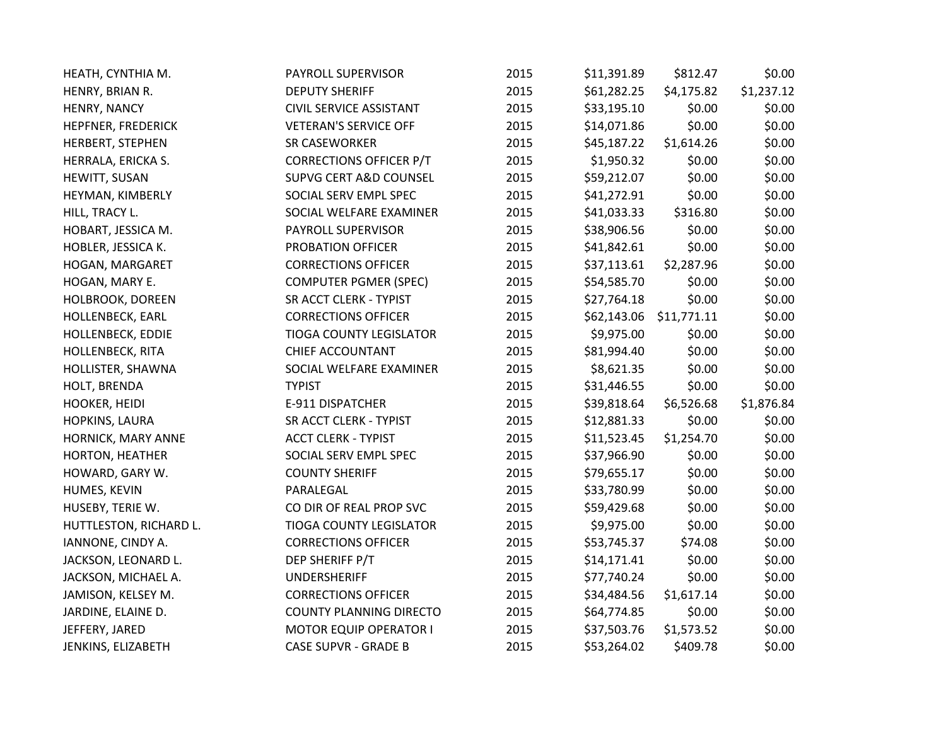| HEATH, CYNTHIA M.       | PAYROLL SUPERVISOR             | 2015 | \$11,391.89 | \$812.47    | \$0.00     |
|-------------------------|--------------------------------|------|-------------|-------------|------------|
| HENRY, BRIAN R.         | <b>DEPUTY SHERIFF</b>          | 2015 | \$61,282.25 | \$4,175.82  | \$1,237.12 |
| HENRY, NANCY            | <b>CIVIL SERVICE ASSISTANT</b> | 2015 | \$33,195.10 | \$0.00      | \$0.00     |
| HEPFNER, FREDERICK      | <b>VETERAN'S SERVICE OFF</b>   | 2015 | \$14,071.86 | \$0.00      | \$0.00     |
| HERBERT, STEPHEN        | <b>SR CASEWORKER</b>           | 2015 | \$45,187.22 | \$1,614.26  | \$0.00     |
| HERRALA, ERICKA S.      | <b>CORRECTIONS OFFICER P/T</b> | 2015 | \$1,950.32  | \$0.00      | \$0.00     |
| HEWITT, SUSAN           | SUPVG CERT A&D COUNSEL         | 2015 | \$59,212.07 | \$0.00      | \$0.00     |
| HEYMAN, KIMBERLY        | SOCIAL SERV EMPL SPEC          | 2015 | \$41,272.91 | \$0.00      | \$0.00     |
| HILL, TRACY L.          | SOCIAL WELFARE EXAMINER        | 2015 | \$41,033.33 | \$316.80    | \$0.00     |
| HOBART, JESSICA M.      | PAYROLL SUPERVISOR             | 2015 | \$38,906.56 | \$0.00      | \$0.00     |
| HOBLER, JESSICA K.      | PROBATION OFFICER              | 2015 | \$41,842.61 | \$0.00      | \$0.00     |
| HOGAN, MARGARET         | <b>CORRECTIONS OFFICER</b>     | 2015 | \$37,113.61 | \$2,287.96  | \$0.00     |
| HOGAN, MARY E.          | <b>COMPUTER PGMER (SPEC)</b>   | 2015 | \$54,585.70 | \$0.00      | \$0.00     |
| HOLBROOK, DOREEN        | SR ACCT CLERK - TYPIST         | 2015 | \$27,764.18 | \$0.00      | \$0.00     |
| HOLLENBECK, EARL        | <b>CORRECTIONS OFFICER</b>     | 2015 | \$62,143.06 | \$11,771.11 | \$0.00     |
| HOLLENBECK, EDDIE       | <b>TIOGA COUNTY LEGISLATOR</b> | 2015 | \$9,975.00  | \$0.00      | \$0.00     |
| <b>HOLLENBECK, RITA</b> | <b>CHIEF ACCOUNTANT</b>        | 2015 | \$81,994.40 | \$0.00      | \$0.00     |
| HOLLISTER, SHAWNA       | SOCIAL WELFARE EXAMINER        | 2015 | \$8,621.35  | \$0.00      | \$0.00     |
| HOLT, BRENDA            | <b>TYPIST</b>                  | 2015 | \$31,446.55 | \$0.00      | \$0.00     |
| HOOKER, HEIDI           | E-911 DISPATCHER               | 2015 | \$39,818.64 | \$6,526.68  | \$1,876.84 |
| HOPKINS, LAURA          | SR ACCT CLERK - TYPIST         | 2015 | \$12,881.33 | \$0.00      | \$0.00     |
| HORNICK, MARY ANNE      | <b>ACCT CLERK - TYPIST</b>     | 2015 | \$11,523.45 | \$1,254.70  | \$0.00     |
| HORTON, HEATHER         | SOCIAL SERV EMPL SPEC          | 2015 | \$37,966.90 | \$0.00      | \$0.00     |
| HOWARD, GARY W.         | <b>COUNTY SHERIFF</b>          | 2015 | \$79,655.17 | \$0.00      | \$0.00     |
| HUMES, KEVIN            | PARALEGAL                      | 2015 | \$33,780.99 | \$0.00      | \$0.00     |
| HUSEBY, TERIE W.        | CO DIR OF REAL PROP SVC        | 2015 | \$59,429.68 | \$0.00      | \$0.00     |
| HUTTLESTON, RICHARD L.  | TIOGA COUNTY LEGISLATOR        | 2015 | \$9,975.00  | \$0.00      | \$0.00     |
| IANNONE, CINDY A.       | <b>CORRECTIONS OFFICER</b>     | 2015 | \$53,745.37 | \$74.08     | \$0.00     |
| JACKSON, LEONARD L.     | DEP SHERIFF P/T                | 2015 | \$14,171.41 | \$0.00      | \$0.00     |
| JACKSON, MICHAEL A.     | <b>UNDERSHERIFF</b>            | 2015 | \$77,740.24 | \$0.00      | \$0.00     |
| JAMISON, KELSEY M.      | <b>CORRECTIONS OFFICER</b>     | 2015 | \$34,484.56 | \$1,617.14  | \$0.00     |
| JARDINE, ELAINE D.      | <b>COUNTY PLANNING DIRECTO</b> | 2015 | \$64,774.85 | \$0.00      | \$0.00     |
| JEFFERY, JARED          | <b>MOTOR EQUIP OPERATOR I</b>  | 2015 | \$37,503.76 | \$1,573.52  | \$0.00     |
| JENKINS, ELIZABETH      | <b>CASE SUPVR - GRADE B</b>    | 2015 | \$53,264.02 | \$409.78    | \$0.00     |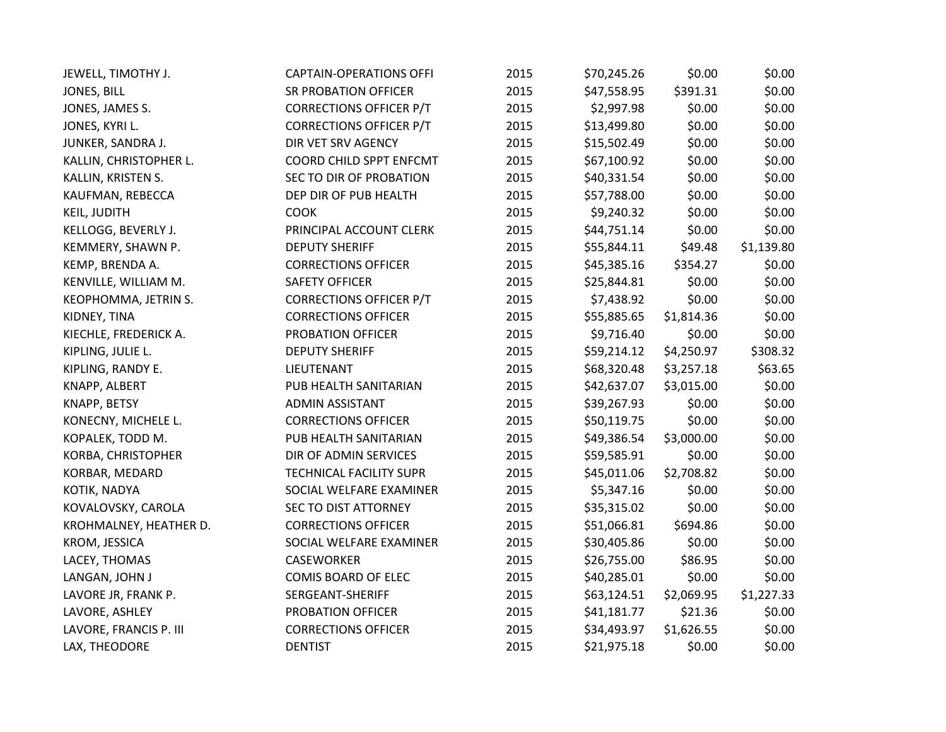| JEWELL, TIMOTHY J.     | <b>CAPTAIN-OPERATIONS OFFI</b> | 2015 | \$70,245.26 | \$0.00     | \$0.00     |
|------------------------|--------------------------------|------|-------------|------------|------------|
| JONES, BILL            | <b>SR PROBATION OFFICER</b>    | 2015 | \$47,558.95 | \$391.31   | \$0.00     |
| JONES, JAMES S.        | <b>CORRECTIONS OFFICER P/T</b> | 2015 | \$2,997.98  | \$0.00     | \$0.00     |
| JONES, KYRI L.         | <b>CORRECTIONS OFFICER P/T</b> | 2015 | \$13,499.80 | \$0.00     | \$0.00     |
| JUNKER, SANDRA J.      | DIR VET SRV AGENCY             | 2015 | \$15,502.49 | \$0.00     | \$0.00     |
| KALLIN, CHRISTOPHER L. | COORD CHILD SPPT ENFCMT        | 2015 | \$67,100.92 | \$0.00     | \$0.00     |
| KALLIN, KRISTEN S.     | SEC TO DIR OF PROBATION        | 2015 | \$40,331.54 | \$0.00     | \$0.00     |
| KAUFMAN, REBECCA       | DEP DIR OF PUB HEALTH          | 2015 | \$57,788.00 | \$0.00     | \$0.00     |
| <b>KEIL, JUDITH</b>    | <b>COOK</b>                    | 2015 | \$9,240.32  | \$0.00     | \$0.00     |
| KELLOGG, BEVERLY J.    | PRINCIPAL ACCOUNT CLERK        | 2015 | \$44,751.14 | \$0.00     | \$0.00     |
| KEMMERY, SHAWN P.      | <b>DEPUTY SHERIFF</b>          | 2015 | \$55,844.11 | \$49.48    | \$1,139.80 |
| KEMP, BRENDA A.        | <b>CORRECTIONS OFFICER</b>     | 2015 | \$45,385.16 | \$354.27   | \$0.00     |
| KENVILLE, WILLIAM M.   | <b>SAFETY OFFICER</b>          | 2015 | \$25,844.81 | \$0.00     | \$0.00     |
| KEOPHOMMA, JETRIN S.   | <b>CORRECTIONS OFFICER P/T</b> | 2015 | \$7,438.92  | \$0.00     | \$0.00     |
| KIDNEY, TINA           | <b>CORRECTIONS OFFICER</b>     | 2015 | \$55,885.65 | \$1,814.36 | \$0.00     |
| KIECHLE, FREDERICK A.  | PROBATION OFFICER              | 2015 | \$9,716.40  | \$0.00     | \$0.00     |
| KIPLING, JULIE L.      | <b>DEPUTY SHERIFF</b>          | 2015 | \$59,214.12 | \$4,250.97 | \$308.32   |
| KIPLING, RANDY E.      | LIEUTENANT                     | 2015 | \$68,320.48 | \$3,257.18 | \$63.65    |
| KNAPP, ALBERT          | PUB HEALTH SANITARIAN          | 2015 | \$42,637.07 | \$3,015.00 | \$0.00     |
| KNAPP, BETSY           | <b>ADMIN ASSISTANT</b>         | 2015 | \$39,267.93 | \$0.00     | \$0.00     |
| KONECNY, MICHELE L.    | <b>CORRECTIONS OFFICER</b>     | 2015 | \$50,119.75 | \$0.00     | \$0.00     |
| KOPALEK, TODD M.       | PUB HEALTH SANITARIAN          | 2015 | \$49,386.54 | \$3,000.00 | \$0.00     |
| KORBA, CHRISTOPHER     | DIR OF ADMIN SERVICES          | 2015 | \$59,585.91 | \$0.00     | \$0.00     |
| KORBAR, MEDARD         | <b>TECHNICAL FACILITY SUPR</b> | 2015 | \$45,011.06 | \$2,708.82 | \$0.00     |
| KOTIK, NADYA           | SOCIAL WELFARE EXAMINER        | 2015 | \$5,347.16  | \$0.00     | \$0.00     |
| KOVALOVSKY, CAROLA     | <b>SEC TO DIST ATTORNEY</b>    | 2015 | \$35,315.02 | \$0.00     | \$0.00     |
| KROHMALNEY, HEATHER D. | <b>CORRECTIONS OFFICER</b>     | 2015 | \$51,066.81 | \$694.86   | \$0.00     |
| KROM, JESSICA          | SOCIAL WELFARE EXAMINER        | 2015 | \$30,405.86 | \$0.00     | \$0.00     |
| LACEY, THOMAS          | <b>CASEWORKER</b>              | 2015 | \$26,755.00 | \$86.95    | \$0.00     |
| LANGAN, JOHN J         | COMIS BOARD OF ELEC            | 2015 | \$40,285.01 | \$0.00     | \$0.00     |
| LAVORE JR, FRANK P.    | SERGEANT-SHERIFF               | 2015 | \$63,124.51 | \$2,069.95 | \$1,227.33 |
| LAVORE, ASHLEY         | PROBATION OFFICER              | 2015 | \$41,181.77 | \$21.36    | \$0.00     |
| LAVORE, FRANCIS P. III | <b>CORRECTIONS OFFICER</b>     | 2015 | \$34,493.97 | \$1,626.55 | \$0.00     |
| LAX, THEODORE          | <b>DENTIST</b>                 | 2015 | \$21,975.18 | \$0.00     | \$0.00     |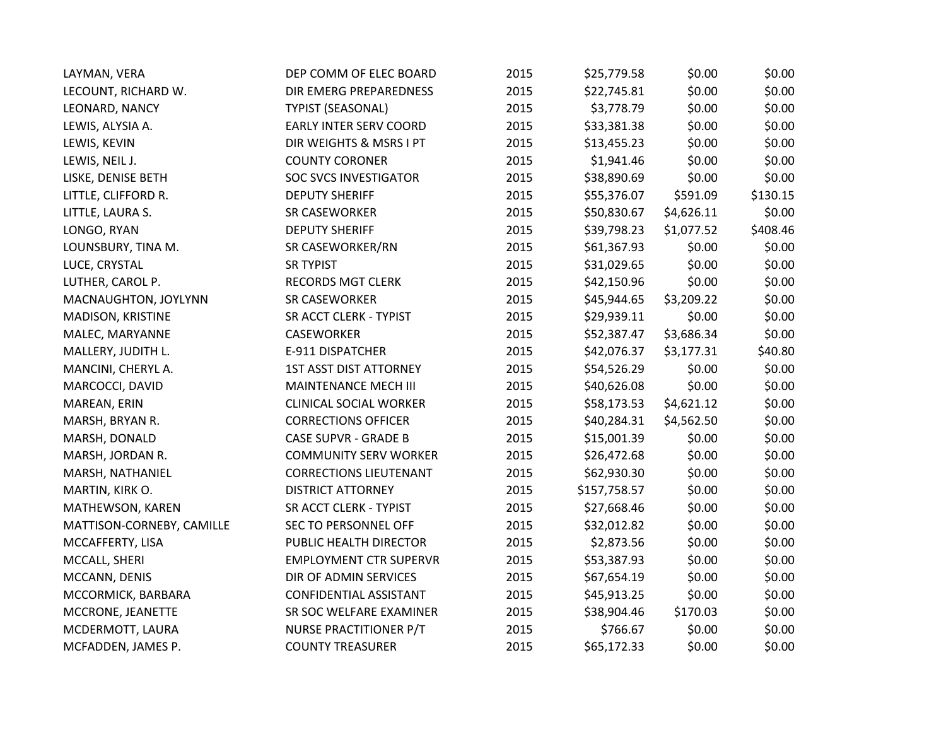| LAYMAN, VERA              | DEP COMM OF ELEC BOARD        | 2015 | \$25,779.58  | \$0.00     | \$0.00   |
|---------------------------|-------------------------------|------|--------------|------------|----------|
| LECOUNT, RICHARD W.       | DIR EMERG PREPAREDNESS        | 2015 | \$22,745.81  | \$0.00     | \$0.00   |
| LEONARD, NANCY            | <b>TYPIST (SEASONAL)</b>      | 2015 | \$3,778.79   | \$0.00     | \$0.00   |
| LEWIS, ALYSIA A.          | <b>EARLY INTER SERV COORD</b> | 2015 | \$33,381.38  | \$0.00     | \$0.00   |
| LEWIS, KEVIN              | DIR WEIGHTS & MSRS I PT       | 2015 | \$13,455.23  | \$0.00     | \$0.00   |
| LEWIS, NEIL J.            | <b>COUNTY CORONER</b>         | 2015 | \$1,941.46   | \$0.00     | \$0.00   |
| LISKE, DENISE BETH        | <b>SOC SVCS INVESTIGATOR</b>  | 2015 | \$38,890.69  | \$0.00     | \$0.00   |
| LITTLE, CLIFFORD R.       | <b>DEPUTY SHERIFF</b>         | 2015 | \$55,376.07  | \$591.09   | \$130.15 |
| LITTLE, LAURA S.          | SR CASEWORKER                 | 2015 | \$50,830.67  | \$4,626.11 | \$0.00   |
| LONGO, RYAN               | <b>DEPUTY SHERIFF</b>         | 2015 | \$39,798.23  | \$1,077.52 | \$408.46 |
| LOUNSBURY, TINA M.        | SR CASEWORKER/RN              | 2015 | \$61,367.93  | \$0.00     | \$0.00   |
| LUCE, CRYSTAL             | <b>SR TYPIST</b>              | 2015 | \$31,029.65  | \$0.00     | \$0.00   |
| LUTHER, CAROL P.          | <b>RECORDS MGT CLERK</b>      | 2015 | \$42,150.96  | \$0.00     | \$0.00   |
| MACNAUGHTON, JOYLYNN      | SR CASEWORKER                 | 2015 | \$45,944.65  | \$3,209.22 | \$0.00   |
| MADISON, KRISTINE         | SR ACCT CLERK - TYPIST        | 2015 | \$29,939.11  | \$0.00     | \$0.00   |
| MALEC, MARYANNE           | CASEWORKER                    | 2015 | \$52,387.47  | \$3,686.34 | \$0.00   |
| MALLERY, JUDITH L.        | E-911 DISPATCHER              | 2015 | \$42,076.37  | \$3,177.31 | \$40.80  |
| MANCINI, CHERYL A.        | <b>1ST ASST DIST ATTORNEY</b> | 2015 | \$54,526.29  | \$0.00     | \$0.00   |
| MARCOCCI, DAVID           | MAINTENANCE MECH III          | 2015 | \$40,626.08  | \$0.00     | \$0.00   |
| MAREAN, ERIN              | <b>CLINICAL SOCIAL WORKER</b> | 2015 | \$58,173.53  | \$4,621.12 | \$0.00   |
| MARSH, BRYAN R.           | <b>CORRECTIONS OFFICER</b>    | 2015 | \$40,284.31  | \$4,562.50 | \$0.00   |
| MARSH, DONALD             | <b>CASE SUPVR - GRADE B</b>   | 2015 | \$15,001.39  | \$0.00     | \$0.00   |
| MARSH, JORDAN R.          | <b>COMMUNITY SERV WORKER</b>  | 2015 | \$26,472.68  | \$0.00     | \$0.00   |
| MARSH, NATHANIEL          | <b>CORRECTIONS LIEUTENANT</b> | 2015 | \$62,930.30  | \$0.00     | \$0.00   |
| MARTIN, KIRK O.           | <b>DISTRICT ATTORNEY</b>      | 2015 | \$157,758.57 | \$0.00     | \$0.00   |
| MATHEWSON, KAREN          | SR ACCT CLERK - TYPIST        | 2015 | \$27,668.46  | \$0.00     | \$0.00   |
| MATTISON-CORNEBY, CAMILLE | <b>SEC TO PERSONNEL OFF</b>   | 2015 | \$32,012.82  | \$0.00     | \$0.00   |
| MCCAFFERTY, LISA          | PUBLIC HEALTH DIRECTOR        | 2015 | \$2,873.56   | \$0.00     | \$0.00   |
| MCCALL, SHERI             | <b>EMPLOYMENT CTR SUPERVR</b> | 2015 | \$53,387.93  | \$0.00     | \$0.00   |
| MCCANN, DENIS             | DIR OF ADMIN SERVICES         | 2015 | \$67,654.19  | \$0.00     | \$0.00   |
| MCCORMICK, BARBARA        | CONFIDENTIAL ASSISTANT        | 2015 | \$45,913.25  | \$0.00     | \$0.00   |
| MCCRONE, JEANETTE         | SR SOC WELFARE EXAMINER       | 2015 | \$38,904.46  | \$170.03   | \$0.00   |
| MCDERMOTT, LAURA          | NURSE PRACTITIONER P/T        | 2015 | \$766.67     | \$0.00     | \$0.00   |
| MCFADDEN, JAMES P.        | <b>COUNTY TREASURER</b>       | 2015 | \$65,172.33  | \$0.00     | \$0.00   |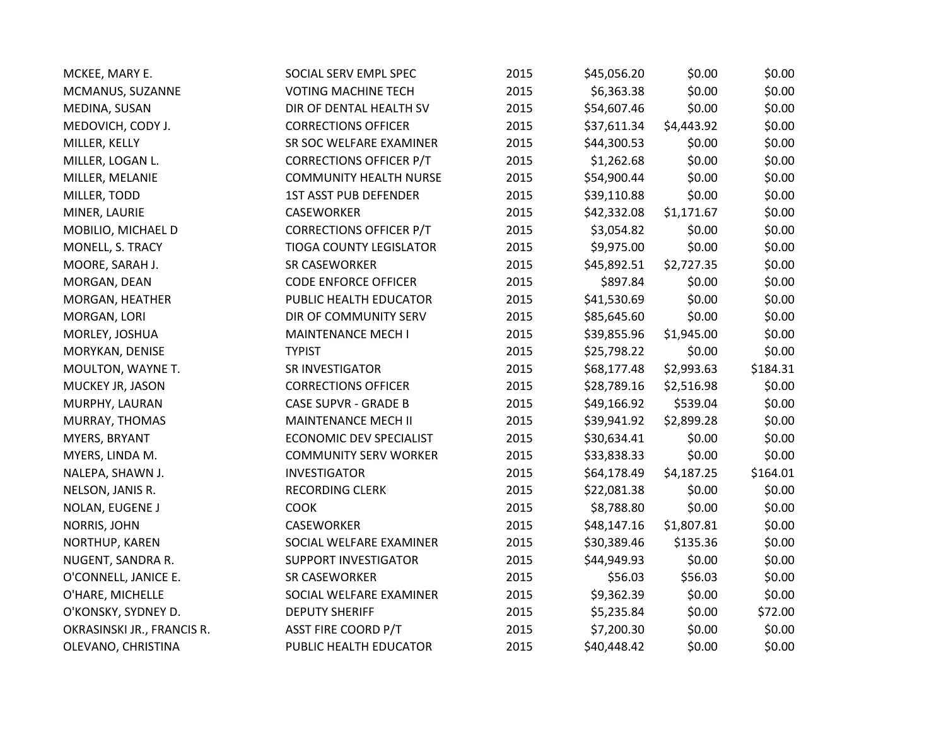| MCKEE, MARY E.             | SOCIAL SERV EMPL SPEC          | 2015 | \$45,056.20 | \$0.00     | \$0.00   |
|----------------------------|--------------------------------|------|-------------|------------|----------|
| MCMANUS, SUZANNE           | <b>VOTING MACHINE TECH</b>     | 2015 | \$6,363.38  | \$0.00     | \$0.00   |
| MEDINA, SUSAN              | DIR OF DENTAL HEALTH SV        | 2015 | \$54,607.46 | \$0.00     | \$0.00   |
| MEDOVICH, CODY J.          | <b>CORRECTIONS OFFICER</b>     | 2015 | \$37,611.34 | \$4,443.92 | \$0.00   |
| MILLER, KELLY              | SR SOC WELFARE EXAMINER        | 2015 | \$44,300.53 | \$0.00     | \$0.00   |
| MILLER, LOGAN L.           | <b>CORRECTIONS OFFICER P/T</b> | 2015 | \$1,262.68  | \$0.00     | \$0.00   |
| MILLER, MELANIE            | <b>COMMUNITY HEALTH NURSE</b>  | 2015 | \$54,900.44 | \$0.00     | \$0.00   |
| MILLER, TODD               | <b>1ST ASST PUB DEFENDER</b>   | 2015 | \$39,110.88 | \$0.00     | \$0.00   |
| MINER, LAURIE              | <b>CASEWORKER</b>              | 2015 | \$42,332.08 | \$1,171.67 | \$0.00   |
| MOBILIO, MICHAEL D         | <b>CORRECTIONS OFFICER P/T</b> | 2015 | \$3,054.82  | \$0.00     | \$0.00   |
| MONELL, S. TRACY           | <b>TIOGA COUNTY LEGISLATOR</b> | 2015 | \$9,975.00  | \$0.00     | \$0.00   |
| MOORE, SARAH J.            | <b>SR CASEWORKER</b>           | 2015 | \$45,892.51 | \$2,727.35 | \$0.00   |
| MORGAN, DEAN               | <b>CODE ENFORCE OFFICER</b>    | 2015 | \$897.84    | \$0.00     | \$0.00   |
| MORGAN, HEATHER            | PUBLIC HEALTH EDUCATOR         | 2015 | \$41,530.69 | \$0.00     | \$0.00   |
| MORGAN, LORI               | DIR OF COMMUNITY SERV          | 2015 | \$85,645.60 | \$0.00     | \$0.00   |
| MORLEY, JOSHUA             | MAINTENANCE MECH I             | 2015 | \$39,855.96 | \$1,945.00 | \$0.00   |
| MORYKAN, DENISE            | <b>TYPIST</b>                  | 2015 | \$25,798.22 | \$0.00     | \$0.00   |
| MOULTON, WAYNE T.          | SR INVESTIGATOR                | 2015 | \$68,177.48 | \$2,993.63 | \$184.31 |
| MUCKEY JR, JASON           | <b>CORRECTIONS OFFICER</b>     | 2015 | \$28,789.16 | \$2,516.98 | \$0.00   |
| MURPHY, LAURAN             | <b>CASE SUPVR - GRADE B</b>    | 2015 | \$49,166.92 | \$539.04   | \$0.00   |
| MURRAY, THOMAS             | <b>MAINTENANCE MECH II</b>     | 2015 | \$39,941.92 | \$2,899.28 | \$0.00   |
| MYERS, BRYANT              | <b>ECONOMIC DEV SPECIALIST</b> | 2015 | \$30,634.41 | \$0.00     | \$0.00   |
| MYERS, LINDA M.            | <b>COMMUNITY SERV WORKER</b>   | 2015 | \$33,838.33 | \$0.00     | \$0.00   |
| NALEPA, SHAWN J.           | <b>INVESTIGATOR</b>            | 2015 | \$64,178.49 | \$4,187.25 | \$164.01 |
| NELSON, JANIS R.           | <b>RECORDING CLERK</b>         | 2015 | \$22,081.38 | \$0.00     | \$0.00   |
| NOLAN, EUGENE J            | <b>COOK</b>                    | 2015 | \$8,788.80  | \$0.00     | \$0.00   |
| NORRIS, JOHN               | <b>CASEWORKER</b>              | 2015 | \$48,147.16 | \$1,807.81 | \$0.00   |
| NORTHUP, KAREN             | SOCIAL WELFARE EXAMINER        | 2015 | \$30,389.46 | \$135.36   | \$0.00   |
| NUGENT, SANDRA R.          | <b>SUPPORT INVESTIGATOR</b>    | 2015 | \$44,949.93 | \$0.00     | \$0.00   |
| O'CONNELL, JANICE E.       | SR CASEWORKER                  | 2015 | \$56.03     | \$56.03    | \$0.00   |
| O'HARE, MICHELLE           | SOCIAL WELFARE EXAMINER        | 2015 | \$9,362.39  | \$0.00     | \$0.00   |
| O'KONSKY, SYDNEY D.        | <b>DEPUTY SHERIFF</b>          | 2015 | \$5,235.84  | \$0.00     | \$72.00  |
| OKRASINSKI JR., FRANCIS R. | <b>ASST FIRE COORD P/T</b>     | 2015 | \$7,200.30  | \$0.00     | \$0.00   |
| OLEVANO, CHRISTINA         | PUBLIC HEALTH EDUCATOR         | 2015 | \$40,448.42 | \$0.00     | \$0.00   |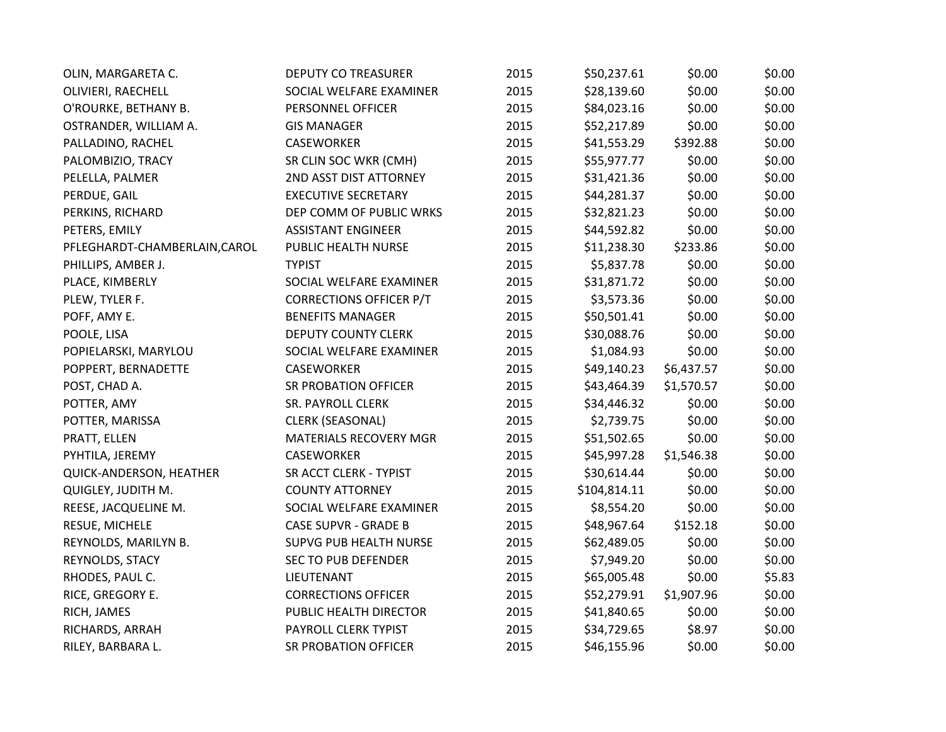| OLIN, MARGARETA C.            | <b>DEPUTY CO TREASURER</b>     | 2015 | \$50,237.61  | \$0.00     | \$0.00 |
|-------------------------------|--------------------------------|------|--------------|------------|--------|
| OLIVIERI, RAECHELL            | SOCIAL WELFARE EXAMINER        | 2015 | \$28,139.60  | \$0.00     | \$0.00 |
| O'ROURKE, BETHANY B.          | PERSONNEL OFFICER              | 2015 | \$84,023.16  | \$0.00     | \$0.00 |
| OSTRANDER, WILLIAM A.         | <b>GIS MANAGER</b>             | 2015 | \$52,217.89  | \$0.00     | \$0.00 |
| PALLADINO, RACHEL             | <b>CASEWORKER</b>              | 2015 | \$41,553.29  | \$392.88   | \$0.00 |
| PALOMBIZIO, TRACY             | SR CLIN SOC WKR (CMH)          | 2015 | \$55,977.77  | \$0.00     | \$0.00 |
| PELELLA, PALMER               | 2ND ASST DIST ATTORNEY         | 2015 | \$31,421.36  | \$0.00     | \$0.00 |
| PERDUE, GAIL                  | <b>EXECUTIVE SECRETARY</b>     | 2015 | \$44,281.37  | \$0.00     | \$0.00 |
| PERKINS, RICHARD              | DEP COMM OF PUBLIC WRKS        | 2015 | \$32,821.23  | \$0.00     | \$0.00 |
| PETERS, EMILY                 | <b>ASSISTANT ENGINEER</b>      | 2015 | \$44,592.82  | \$0.00     | \$0.00 |
| PFLEGHARDT-CHAMBERLAIN, CAROL | PUBLIC HEALTH NURSE            | 2015 | \$11,238.30  | \$233.86   | \$0.00 |
| PHILLIPS, AMBER J.            | <b>TYPIST</b>                  | 2015 | \$5,837.78   | \$0.00     | \$0.00 |
| PLACE, KIMBERLY               | SOCIAL WELFARE EXAMINER        | 2015 | \$31,871.72  | \$0.00     | \$0.00 |
| PLEW, TYLER F.                | <b>CORRECTIONS OFFICER P/T</b> | 2015 | \$3,573.36   | \$0.00     | \$0.00 |
| POFF, AMY E.                  | <b>BENEFITS MANAGER</b>        | 2015 | \$50,501.41  | \$0.00     | \$0.00 |
| POOLE, LISA                   | <b>DEPUTY COUNTY CLERK</b>     | 2015 | \$30,088.76  | \$0.00     | \$0.00 |
| POPIELARSKI, MARYLOU          | SOCIAL WELFARE EXAMINER        | 2015 | \$1,084.93   | \$0.00     | \$0.00 |
| POPPERT, BERNADETTE           | <b>CASEWORKER</b>              | 2015 | \$49,140.23  | \$6,437.57 | \$0.00 |
| POST, CHAD A.                 | <b>SR PROBATION OFFICER</b>    | 2015 | \$43,464.39  | \$1,570.57 | \$0.00 |
| POTTER, AMY                   | SR. PAYROLL CLERK              | 2015 | \$34,446.32  | \$0.00     | \$0.00 |
| POTTER, MARISSA               | <b>CLERK (SEASONAL)</b>        | 2015 | \$2,739.75   | \$0.00     | \$0.00 |
| PRATT, ELLEN                  | MATERIALS RECOVERY MGR         | 2015 | \$51,502.65  | \$0.00     | \$0.00 |
| PYHTILA, JEREMY               | <b>CASEWORKER</b>              | 2015 | \$45,997.28  | \$1,546.38 | \$0.00 |
| QUICK-ANDERSON, HEATHER       | SR ACCT CLERK - TYPIST         | 2015 | \$30,614.44  | \$0.00     | \$0.00 |
| QUIGLEY, JUDITH M.            | <b>COUNTY ATTORNEY</b>         | 2015 | \$104,814.11 | \$0.00     | \$0.00 |
| REESE, JACQUELINE M.          | SOCIAL WELFARE EXAMINER        | 2015 | \$8,554.20   | \$0.00     | \$0.00 |
| RESUE, MICHELE                | <b>CASE SUPVR - GRADE B</b>    | 2015 | \$48,967.64  | \$152.18   | \$0.00 |
| REYNOLDS, MARILYN B.          | SUPVG PUB HEALTH NURSE         | 2015 | \$62,489.05  | \$0.00     | \$0.00 |
| REYNOLDS, STACY               | <b>SEC TO PUB DEFENDER</b>     | 2015 | \$7,949.20   | \$0.00     | \$0.00 |
| RHODES, PAUL C.               | LIEUTENANT                     | 2015 | \$65,005.48  | \$0.00     | \$5.83 |
| RICE, GREGORY E.              | <b>CORRECTIONS OFFICER</b>     | 2015 | \$52,279.91  | \$1,907.96 | \$0.00 |
| RICH, JAMES                   | PUBLIC HEALTH DIRECTOR         | 2015 | \$41,840.65  | \$0.00     | \$0.00 |
| RICHARDS, ARRAH               | PAYROLL CLERK TYPIST           | 2015 | \$34,729.65  | \$8.97     | \$0.00 |
| RILEY, BARBARA L.             | <b>SR PROBATION OFFICER</b>    | 2015 | \$46,155.96  | \$0.00     | \$0.00 |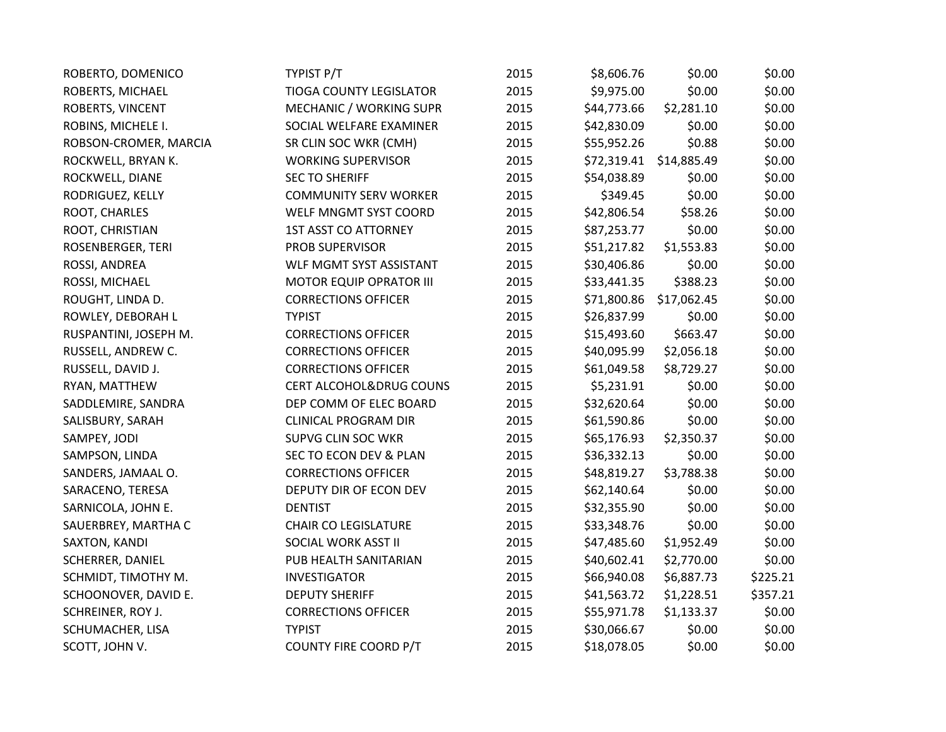| ROBERTO, DOMENICO       | TYPIST P/T                         | 2015 | \$8,606.76  | \$0.00      | \$0.00   |
|-------------------------|------------------------------------|------|-------------|-------------|----------|
| ROBERTS, MICHAEL        | <b>TIOGA COUNTY LEGISLATOR</b>     | 2015 | \$9,975.00  | \$0.00      | \$0.00   |
| ROBERTS, VINCENT        | MECHANIC / WORKING SUPR            | 2015 | \$44,773.66 | \$2,281.10  | \$0.00   |
| ROBINS, MICHELE I.      | SOCIAL WELFARE EXAMINER            | 2015 | \$42,830.09 | \$0.00      | \$0.00   |
| ROBSON-CROMER, MARCIA   | SR CLIN SOC WKR (CMH)              | 2015 | \$55,952.26 | \$0.88      | \$0.00   |
| ROCKWELL, BRYAN K.      | <b>WORKING SUPERVISOR</b>          | 2015 | \$72,319.41 | \$14,885.49 | \$0.00   |
| ROCKWELL, DIANE         | <b>SEC TO SHERIFF</b>              | 2015 | \$54,038.89 | \$0.00      | \$0.00   |
| RODRIGUEZ, KELLY        | <b>COMMUNITY SERV WORKER</b>       | 2015 | \$349.45    | \$0.00      | \$0.00   |
| ROOT, CHARLES           | WELF MNGMT SYST COORD              | 2015 | \$42,806.54 | \$58.26     | \$0.00   |
| ROOT, CHRISTIAN         | <b>1ST ASST CO ATTORNEY</b>        | 2015 | \$87,253.77 | \$0.00      | \$0.00   |
| ROSENBERGER, TERI       | PROB SUPERVISOR                    | 2015 | \$51,217.82 | \$1,553.83  | \$0.00   |
| ROSSI, ANDREA           | WLF MGMT SYST ASSISTANT            | 2015 | \$30,406.86 | \$0.00      | \$0.00   |
| ROSSI, MICHAEL          | <b>MOTOR EQUIP OPRATOR III</b>     | 2015 | \$33,441.35 | \$388.23    | \$0.00   |
| ROUGHT, LINDA D.        | <b>CORRECTIONS OFFICER</b>         | 2015 | \$71,800.86 | \$17,062.45 | \$0.00   |
| ROWLEY, DEBORAH L       | <b>TYPIST</b>                      | 2015 | \$26,837.99 | \$0.00      | \$0.00   |
| RUSPANTINI, JOSEPH M.   | <b>CORRECTIONS OFFICER</b>         | 2015 | \$15,493.60 | \$663.47    | \$0.00   |
| RUSSELL, ANDREW C.      | <b>CORRECTIONS OFFICER</b>         | 2015 | \$40,095.99 | \$2,056.18  | \$0.00   |
| RUSSELL, DAVID J.       | <b>CORRECTIONS OFFICER</b>         | 2015 | \$61,049.58 | \$8,729.27  | \$0.00   |
| RYAN, MATTHEW           | <b>CERT ALCOHOL&amp;DRUG COUNS</b> | 2015 | \$5,231.91  | \$0.00      | \$0.00   |
| SADDLEMIRE, SANDRA      | DEP COMM OF ELEC BOARD             | 2015 | \$32,620.64 | \$0.00      | \$0.00   |
| SALISBURY, SARAH        | <b>CLINICAL PROGRAM DIR</b>        | 2015 | \$61,590.86 | \$0.00      | \$0.00   |
| SAMPEY, JODI            | SUPVG CLIN SOC WKR                 | 2015 | \$65,176.93 | \$2,350.37  | \$0.00   |
| SAMPSON, LINDA          | SEC TO ECON DEV & PLAN             | 2015 | \$36,332.13 | \$0.00      | \$0.00   |
| SANDERS, JAMAAL O.      | <b>CORRECTIONS OFFICER</b>         | 2015 | \$48,819.27 | \$3,788.38  | \$0.00   |
| SARACENO, TERESA        | DEPUTY DIR OF ECON DEV             | 2015 | \$62,140.64 | \$0.00      | \$0.00   |
| SARNICOLA, JOHN E.      | <b>DENTIST</b>                     | 2015 | \$32,355.90 | \$0.00      | \$0.00   |
| SAUERBREY, MARTHA C     | <b>CHAIR CO LEGISLATURE</b>        | 2015 | \$33,348.76 | \$0.00      | \$0.00   |
| SAXTON, KANDI           | SOCIAL WORK ASST II                | 2015 | \$47,485.60 | \$1,952.49  | \$0.00   |
| <b>SCHERRER, DANIEL</b> | PUB HEALTH SANITARIAN              | 2015 | \$40,602.41 | \$2,770.00  | \$0.00   |
| SCHMIDT, TIMOTHY M.     | <b>INVESTIGATOR</b>                | 2015 | \$66,940.08 | \$6,887.73  | \$225.21 |
| SCHOONOVER, DAVID E.    | <b>DEPUTY SHERIFF</b>              | 2015 | \$41,563.72 | \$1,228.51  | \$357.21 |
| SCHREINER, ROY J.       | <b>CORRECTIONS OFFICER</b>         | 2015 | \$55,971.78 | \$1,133.37  | \$0.00   |
| SCHUMACHER, LISA        | <b>TYPIST</b>                      | 2015 | \$30,066.67 | \$0.00      | \$0.00   |
| SCOTT, JOHN V.          | COUNTY FIRE COORD P/T              | 2015 | \$18,078.05 | \$0.00      | \$0.00   |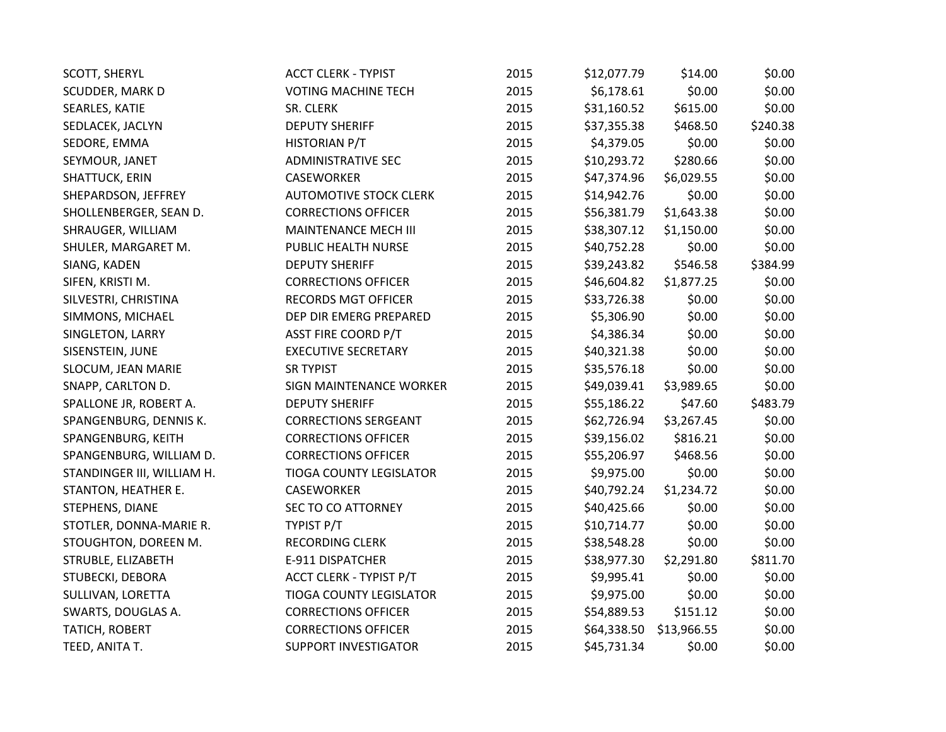| <b>SCOTT, SHERYL</b>       | <b>ACCT CLERK - TYPIST</b>     | 2015 | \$12,077.79 | \$14.00     | \$0.00   |
|----------------------------|--------------------------------|------|-------------|-------------|----------|
| SCUDDER, MARK D            | <b>VOTING MACHINE TECH</b>     | 2015 | \$6,178.61  | \$0.00      | \$0.00   |
| SEARLES, KATIE             | SR. CLERK                      | 2015 | \$31,160.52 | \$615.00    | \$0.00   |
| SEDLACEK, JACLYN           | <b>DEPUTY SHERIFF</b>          | 2015 | \$37,355.38 | \$468.50    | \$240.38 |
| SEDORE, EMMA               | HISTORIAN P/T                  | 2015 | \$4,379.05  | \$0.00      | \$0.00   |
| SEYMOUR, JANET             | <b>ADMINISTRATIVE SEC</b>      | 2015 | \$10,293.72 | \$280.66    | \$0.00   |
| SHATTUCK, ERIN             | <b>CASEWORKER</b>              | 2015 | \$47,374.96 | \$6,029.55  | \$0.00   |
| SHEPARDSON, JEFFREY        | <b>AUTOMOTIVE STOCK CLERK</b>  | 2015 | \$14,942.76 | \$0.00      | \$0.00   |
| SHOLLENBERGER, SEAN D.     | <b>CORRECTIONS OFFICER</b>     | 2015 | \$56,381.79 | \$1,643.38  | \$0.00   |
| SHRAUGER, WILLIAM          | MAINTENANCE MECH III           | 2015 | \$38,307.12 | \$1,150.00  | \$0.00   |
| SHULER, MARGARET M.        | PUBLIC HEALTH NURSE            | 2015 | \$40,752.28 | \$0.00      | \$0.00   |
| SIANG, KADEN               | <b>DEPUTY SHERIFF</b>          | 2015 | \$39,243.82 | \$546.58    | \$384.99 |
| SIFEN, KRISTI M.           | <b>CORRECTIONS OFFICER</b>     | 2015 | \$46,604.82 | \$1,877.25  | \$0.00   |
| SILVESTRI, CHRISTINA       | <b>RECORDS MGT OFFICER</b>     | 2015 | \$33,726.38 | \$0.00      | \$0.00   |
| SIMMONS, MICHAEL           | DEP DIR EMERG PREPARED         | 2015 | \$5,306.90  | \$0.00      | \$0.00   |
| SINGLETON, LARRY           | <b>ASST FIRE COORD P/T</b>     | 2015 | \$4,386.34  | \$0.00      | \$0.00   |
| SISENSTEIN, JUNE           | <b>EXECUTIVE SECRETARY</b>     | 2015 | \$40,321.38 | \$0.00      | \$0.00   |
| SLOCUM, JEAN MARIE         | <b>SR TYPIST</b>               | 2015 | \$35,576.18 | \$0.00      | \$0.00   |
| SNAPP, CARLTON D.          | SIGN MAINTENANCE WORKER        | 2015 | \$49,039.41 | \$3,989.65  | \$0.00   |
| SPALLONE JR, ROBERT A.     | <b>DEPUTY SHERIFF</b>          | 2015 | \$55,186.22 | \$47.60     | \$483.79 |
| SPANGENBURG, DENNIS K.     | <b>CORRECTIONS SERGEANT</b>    | 2015 | \$62,726.94 | \$3,267.45  | \$0.00   |
| SPANGENBURG, KEITH         | <b>CORRECTIONS OFFICER</b>     | 2015 | \$39,156.02 | \$816.21    | \$0.00   |
| SPANGENBURG, WILLIAM D.    | <b>CORRECTIONS OFFICER</b>     | 2015 | \$55,206.97 | \$468.56    | \$0.00   |
| STANDINGER III, WILLIAM H. | <b>TIOGA COUNTY LEGISLATOR</b> | 2015 | \$9,975.00  | \$0.00      | \$0.00   |
| STANTON, HEATHER E.        | CASEWORKER                     | 2015 | \$40,792.24 | \$1,234.72  | \$0.00   |
| STEPHENS, DIANE            | <b>SEC TO CO ATTORNEY</b>      | 2015 | \$40,425.66 | \$0.00      | \$0.00   |
| STOTLER, DONNA-MARIE R.    | TYPIST P/T                     | 2015 | \$10,714.77 | \$0.00      | \$0.00   |
| STOUGHTON, DOREEN M.       | RECORDING CLERK                | 2015 | \$38,548.28 | \$0.00      | \$0.00   |
| STRUBLE, ELIZABETH         | E-911 DISPATCHER               | 2015 | \$38,977.30 | \$2,291.80  | \$811.70 |
| STUBECKI, DEBORA           | <b>ACCT CLERK - TYPIST P/T</b> | 2015 | \$9,995.41  | \$0.00      | \$0.00   |
| SULLIVAN, LORETTA          | TIOGA COUNTY LEGISLATOR        | 2015 | \$9,975.00  | \$0.00      | \$0.00   |
| SWARTS, DOUGLAS A.         | <b>CORRECTIONS OFFICER</b>     | 2015 | \$54,889.53 | \$151.12    | \$0.00   |
| TATICH, ROBERT             | <b>CORRECTIONS OFFICER</b>     | 2015 | \$64,338.50 | \$13,966.55 | \$0.00   |
| TEED, ANITA T.             | <b>SUPPORT INVESTIGATOR</b>    | 2015 | \$45,731.34 | \$0.00      | \$0.00   |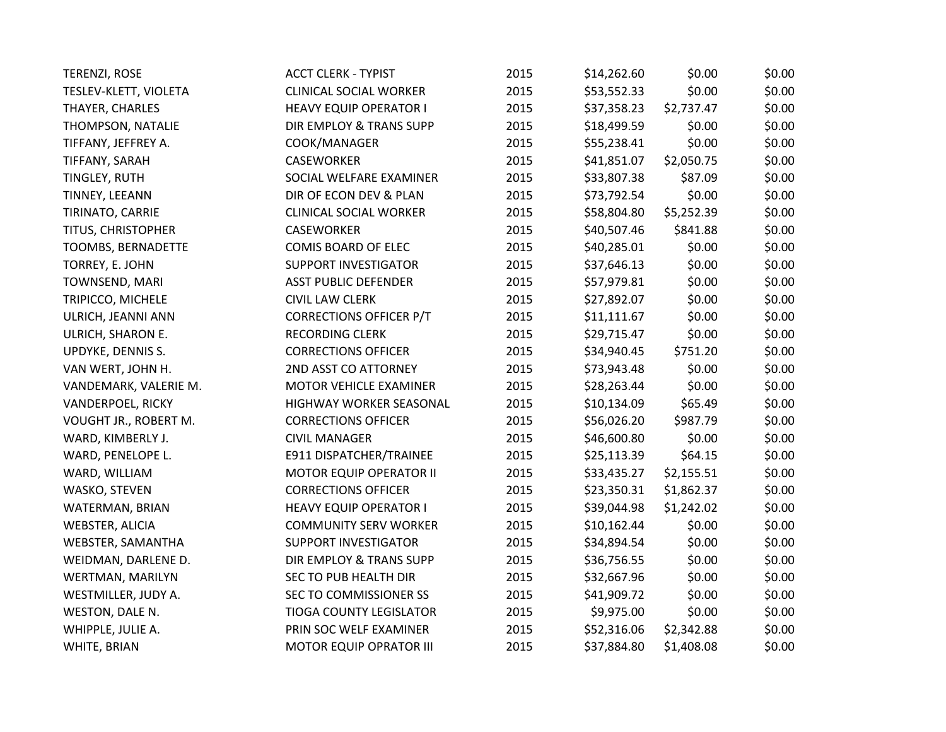| TERENZI, ROSE          | <b>ACCT CLERK - TYPIST</b>     | 2015 | \$14,262.60 | \$0.00     | \$0.00 |
|------------------------|--------------------------------|------|-------------|------------|--------|
| TESLEV-KLETT, VIOLETA  | <b>CLINICAL SOCIAL WORKER</b>  | 2015 | \$53,552.33 | \$0.00     | \$0.00 |
| THAYER, CHARLES        | <b>HEAVY EQUIP OPERATOR I</b>  | 2015 | \$37,358.23 | \$2,737.47 | \$0.00 |
| THOMPSON, NATALIE      | DIR EMPLOY & TRANS SUPP        | 2015 | \$18,499.59 | \$0.00     | \$0.00 |
| TIFFANY, JEFFREY A.    | COOK/MANAGER                   | 2015 | \$55,238.41 | \$0.00     | \$0.00 |
| TIFFANY, SARAH         | <b>CASEWORKER</b>              | 2015 | \$41,851.07 | \$2,050.75 | \$0.00 |
| TINGLEY, RUTH          | SOCIAL WELFARE EXAMINER        | 2015 | \$33,807.38 | \$87.09    | \$0.00 |
| TINNEY, LEEANN         | DIR OF ECON DEV & PLAN         | 2015 | \$73,792.54 | \$0.00     | \$0.00 |
| TIRINATO, CARRIE       | <b>CLINICAL SOCIAL WORKER</b>  | 2015 | \$58,804.80 | \$5,252.39 | \$0.00 |
| TITUS, CHRISTOPHER     | <b>CASEWORKER</b>              | 2015 | \$40,507.46 | \$841.88   | \$0.00 |
| TOOMBS, BERNADETTE     | COMIS BOARD OF ELEC            | 2015 | \$40,285.01 | \$0.00     | \$0.00 |
| TORREY, E. JOHN        | <b>SUPPORT INVESTIGATOR</b>    | 2015 | \$37,646.13 | \$0.00     | \$0.00 |
| TOWNSEND, MARI         | <b>ASST PUBLIC DEFENDER</b>    | 2015 | \$57,979.81 | \$0.00     | \$0.00 |
| TRIPICCO, MICHELE      | <b>CIVIL LAW CLERK</b>         | 2015 | \$27,892.07 | \$0.00     | \$0.00 |
| ULRICH, JEANNI ANN     | <b>CORRECTIONS OFFICER P/T</b> | 2015 | \$11,111.67 | \$0.00     | \$0.00 |
| ULRICH, SHARON E.      | RECORDING CLERK                | 2015 | \$29,715.47 | \$0.00     | \$0.00 |
| UPDYKE, DENNIS S.      | <b>CORRECTIONS OFFICER</b>     | 2015 | \$34,940.45 | \$751.20   | \$0.00 |
| VAN WERT, JOHN H.      | 2ND ASST CO ATTORNEY           | 2015 | \$73,943.48 | \$0.00     | \$0.00 |
| VANDEMARK, VALERIE M.  | MOTOR VEHICLE EXAMINER         | 2015 | \$28,263.44 | \$0.00     | \$0.00 |
| VANDERPOEL, RICKY      | HIGHWAY WORKER SEASONAL        | 2015 | \$10,134.09 | \$65.49    | \$0.00 |
| VOUGHT JR., ROBERT M.  | <b>CORRECTIONS OFFICER</b>     | 2015 | \$56,026.20 | \$987.79   | \$0.00 |
| WARD, KIMBERLY J.      | <b>CIVIL MANAGER</b>           | 2015 | \$46,600.80 | \$0.00     | \$0.00 |
| WARD, PENELOPE L.      | E911 DISPATCHER/TRAINEE        | 2015 | \$25,113.39 | \$64.15    | \$0.00 |
| WARD, WILLIAM          | <b>MOTOR EQUIP OPERATOR II</b> | 2015 | \$33,435.27 | \$2,155.51 | \$0.00 |
| WASKO, STEVEN          | <b>CORRECTIONS OFFICER</b>     | 2015 | \$23,350.31 | \$1,862.37 | \$0.00 |
| WATERMAN, BRIAN        | <b>HEAVY EQUIP OPERATOR I</b>  | 2015 | \$39,044.98 | \$1,242.02 | \$0.00 |
| <b>WEBSTER, ALICIA</b> | <b>COMMUNITY SERV WORKER</b>   | 2015 | \$10,162.44 | \$0.00     | \$0.00 |
| WEBSTER, SAMANTHA      | <b>SUPPORT INVESTIGATOR</b>    | 2015 | \$34,894.54 | \$0.00     | \$0.00 |
| WEIDMAN, DARLENE D.    | DIR EMPLOY & TRANS SUPP        | 2015 | \$36,756.55 | \$0.00     | \$0.00 |
| WERTMAN, MARILYN       | SEC TO PUB HEALTH DIR          | 2015 | \$32,667.96 | \$0.00     | \$0.00 |
| WESTMILLER, JUDY A.    | SEC TO COMMISSIONER SS         | 2015 | \$41,909.72 | \$0.00     | \$0.00 |
| WESTON, DALE N.        | <b>TIOGA COUNTY LEGISLATOR</b> | 2015 | \$9,975.00  | \$0.00     | \$0.00 |
| WHIPPLE, JULIE A.      | PRIN SOC WELF EXAMINER         | 2015 | \$52,316.06 | \$2,342.88 | \$0.00 |
| WHITE, BRIAN           | <b>MOTOR EQUIP OPRATOR III</b> | 2015 | \$37,884.80 | \$1,408.08 | \$0.00 |